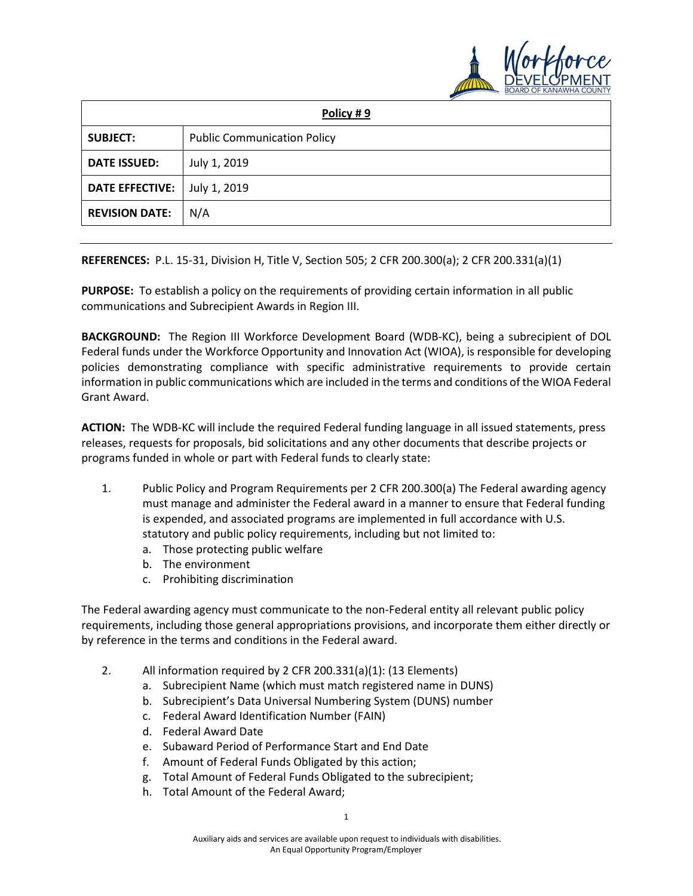

| Policy #9              |                                    |
|------------------------|------------------------------------|
| <b>SUBJECT:</b>        | <b>Public Communication Policy</b> |
| <b>DATE ISSUED:</b>    | July 1, 2019                       |
| <b>DATE EFFECTIVE:</b> | July 1, 2019                       |
| <b>REVISION DATE:</b>  | N/A                                |

**REFERENCES:** P.L. 15-31, Division H, Title V, Section 505; 2 CFR 200.300(a); 2 CFR 200.331(a)(1)

**PURPOSE:** To establish a policy on the requirements of providing certain information in all public communications and Subrecipient Awards in Region III.

**BACKGROUND:** The Region III Workforce Development Board (WDB-KC), being a subrecipient of DOL Federal funds under the Workforce Opportunity and Innovation Act (WIOA), is responsible for developing policies demonstrating compliance with specific administrative requirements to provide certain information in public communications which are included in the terms and conditions of the WIOA Federal Grant Award.

**ACTION:** The WDB-KC will include the required Federal funding language in all issued statements, press releases, requests for proposals, bid solicitations and any other documents that describe projects or programs funded in whole or part with Federal funds to clearly state:

- 1. Public Policy and Program Requirements per 2 CFR 200.300(a) The Federal awarding agency must manage and administer the Federal award in a manner to ensure that Federal funding is expended, and associated programs are implemented in full accordance with U.S. statutory and public policy requirements, including but not limited to:
	- a. Those protecting public welfare
	- b. The environment
	- c. Prohibiting discrimination

The Federal awarding agency must communicate to the non-Federal entity all relevant public policy requirements, including those general appropriations provisions, and incorporate them either directly or by reference in the terms and conditions in the Federal award.

- 2. All information required by 2 CFR 200.331(a)(1): (13 Elements)
	- a. Subrecipient Name (which must match registered name in DUNS)
	- b. Subrecipient's Data Universal Numbering System (DUNS) number
	- c. Federal Award Identification Number (FAIN)
	- d. Federal Award Date
	- e. Subaward Period of Performance Start and End Date
	- f. Amount of Federal Funds Obligated by this action;
	- g. Total Amount of Federal Funds Obligated to the subrecipient;
	- h. Total Amount of the Federal Award;